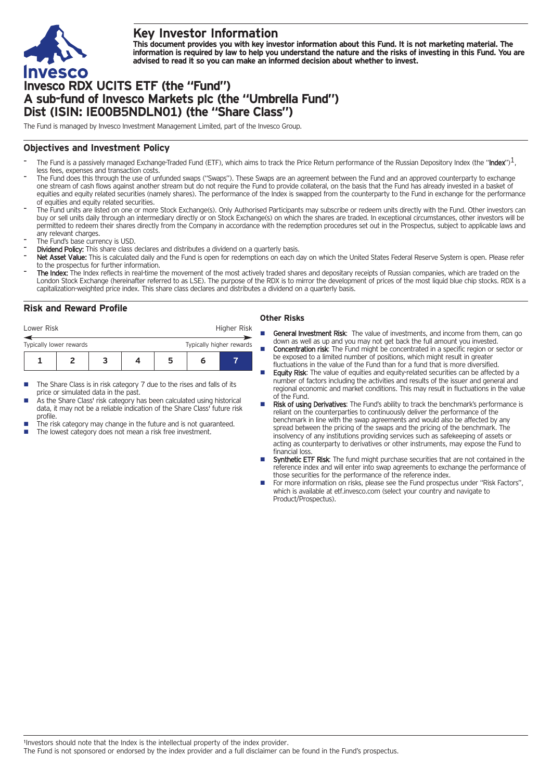

## **Key Investor Information**

This document provides you with key investor information about this Fund. It is not marketing material. The information is required by law to help you understand the nature and the risks of investing in this Fund. You are **advised to read it so you can make an informed decision about whether to invest.**

# **Invesco RDX UCITS ETF (the "Fund") A sub-fund of Invesco Markets plc (the "Umbrella Fund") Dist (ISIN: IE00B5NDLN01) (the "Share Class")**

The Fund is managed by Invesco Investment Management Limited, part of the Invesco Group.

## **Objectives and Investment Policy**

- The Fund is a passively managed Exchange-Traded Fund (ETF), which aims to track the Price Return performance of the Russian Depository Index (the "Index")<sup>1</sup>, less fees, expenses and transaction costs.
- The Fund does this through the use of unfunded swaps ("Swaps"). These Swaps are an agreement between the Fund and an approved counterparty to exchange one stream of cash flows against another stream but do not require the Fund to provide collateral, on the basis that the Fund has already invested in a basket of equities and equity related securities (namely shares). The performance of the Index is swapped from the counterparty to the Fund in exchange for the performance of equities and equity related securities.
- The Fund units are listed on one or more Stock Exchange(s). Only Authorised Participants may subscribe or redeem units directly with the Fund. Other investors can buy or sell units daily through an intermediary directly or on Stock Exchange(s) on which the shares are traded. In exceptional circumstances, other investors will be permitted to redeem their shares directly from the Company in accordance with the redemption procedures set out in the Prospectus, subject to applicable laws and any relevant charges.
- The Fund's base currency is USD.
- Dividend Policy: This share class declares and distributes a dividend on a quarterly basis.
- Net Asset Value: This is calculated daily and the Fund is open for redemptions on each day on which the United States Federal Reserve System is open. Please refer to the prospectus for further information.
- The Index: The Index reflects in real-time the movement of the most actively traded shares and depositary receipts of Russian companies, which are traded on the London Stock Exchange (hereinafter referred to as LSE). The purpose of the RDX is to mirror the development of prices of the most liquid blue chip stocks. RDX is a capitalization-weighted price index. This share class declares and distributes a dividend on a quarterly basis.

## **Risk and Reward Profile**

| Lower Risk                                          |  |  |  | Higher Risk |  |  |
|-----------------------------------------------------|--|--|--|-------------|--|--|
| Typically lower rewards<br>Typically higher rewards |  |  |  |             |  |  |
|                                                     |  |  |  |             |  |  |

- The Share Class is in risk category 7 due to the rises and falls of its price or simulated data in the past.
- As the Share Class' risk category has been calculated using historical data, it may not be a reliable indication of the Share Class' future risk profile.
- The risk category may change in the future and is not guaranteed.
- The lowest category does not mean a risk free investment.

#### **Other Risks**

- General Investment Risk: The value of investments, and income from them, can go down as well as up and you may not get back the full amount you invested.
- **Concentration risk:** The Fund might be concentrated in a specific region or sector or be exposed to a limited number of positions, which might result in greater fluctuations in the value of the Fund than for a fund that is more diversified.
- Equity Risk: The value of equities and equity-related securities can be affected by a number of factors including the activities and results of the issuer and general and regional economic and market conditions. This may result in fluctuations in the value of the Fund.
- Risk of using Derivatives: The Fund's ability to track the benchmark's performance is reliant on the counterparties to continuously deliver the performance of the benchmark in line with the swap agreements and would also be affected by any spread between the pricing of the swaps and the pricing of the benchmark. The insolvency of any institutions providing services such as safekeeping of assets or acting as counterparty to derivatives or other instruments, may expose the Fund to financial loss
- Synthetic ETF Risk: The fund might purchase securities that are not contained in the reference index and will enter into swap agreements to exchange the performance of those securities for the performance of the reference index.
- For more information on risks, please see the Fund prospectus under "Risk Factors", which is available at etf.invesco.com (select your country and navigate to Product/Prospectus).